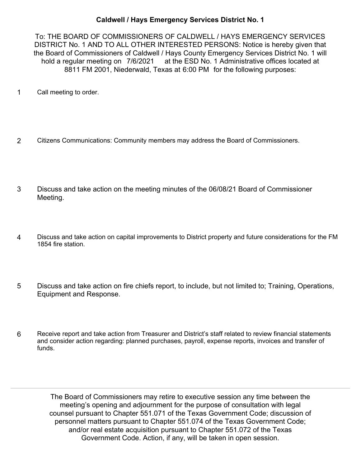## **Caldwell / Hays Emergency Services District No. 1**

To: THE BOARD OF COMMISSIONERS OF CALDWELL / HAYS EMERGENCY SERVICES DISTRICT No. 1 AND TO ALL OTHER INTERESTED PERSONS: Notice is hereby given that the Board of Commissioners of Caldwell / Hays County Emergency Services District No. 1 will hold a regular meeting on 7/6/2021 at the ESD No. 1 Administrative offices located at 8811 FM 2001, Niederwald, Texas at 6:00 PM for the following purposes:

- 1 Call meeting to order.
- 2 Citizens Communications: Community members may address the Board of Commissioners.
- Discuss and take action on the meeting minutes of the 06/08/21 Board of Commissioner Meeting. 3
- Discuss and take action on capital improvements to District property and future considerations for the FM 1854 fire station. 4
- Discuss and take action on fire chiefs report, to include, but not limited to; Training, Operations, Equipment and Response. 5
- Receive report and take action from Treasurer and District's staff related to review financial statements and consider action regarding: planned purchases, payroll, expense reports, invoices and transfer of funds. 6

The Board of Commissioners may retire to executive session any time between the meeting's opening and adjournment for the purpose of consultation with legal counsel pursuant to Chapter 551.071 of the Texas Government Code; discussion of personnel matters pursuant to Chapter 551.074 of the Texas Government Code; and/or real estate acquisition pursuant to Chapter 551.072 of the Texas Government Code. Action, if any, will be taken in open session.